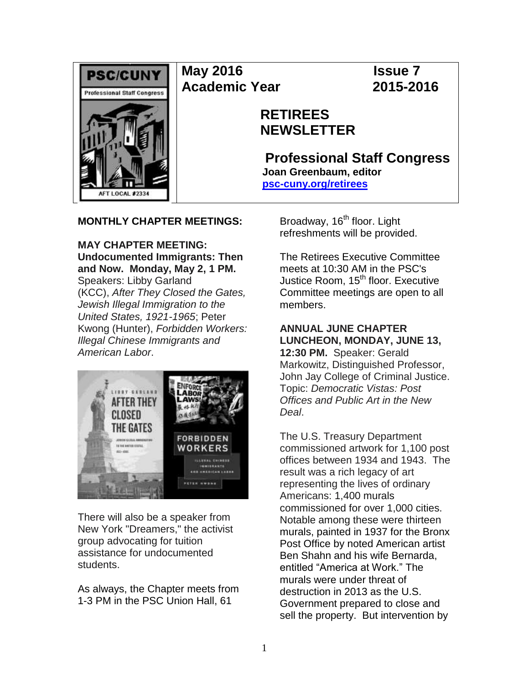

**May 2016 Issue 7 Academic Year 2015-2016**

# **RETIREES NEWSLETTER**

**Professional Staff Congress Joan Greenbaum, editor [psc-cuny.org/retirees](http://www.psc-cuny.org/retirees)**

## **MONTHLY CHAPTER MEETINGS:**

**MAY CHAPTER MEETING: Undocumented Immigrants: Then and Now. Monday, May 2, 1 PM.**  Speakers: Libby Garland (KCC), *After They Closed the Gates, Jewish Illegal Immigration to the United States, 1921-1965*; Peter Kwong (Hunter), *Forbidden Workers: Illegal Chinese Immigrants and American Labor*.



There will also be a speaker from New York "Dreamers," the activist group advocating for tuition assistance for undocumented students.

As always, the Chapter meets from 1-3 PM in the PSC Union Hall, 61

Broadway, 16<sup>th</sup> floor. Light refreshments will be provided.

The Retirees Executive Committee meets at 10:30 AM in the PSC's Justice Room, 15<sup>th</sup> floor. Executive Committee meetings are open to all members.

# **ANNUAL JUNE CHAPTER LUNCHEON, MONDAY, JUNE 13,**

**12:30 PM.** Speaker: Gerald Markowitz, Distinguished Professor, John Jay College of Criminal Justice. Topic: *Democratic Vistas: Post Offices and Public Art in the New Deal*.

The U.S. Treasury Department commissioned artwork for 1,100 post offices between 1934 and 1943. The result was a rich legacy of art representing the lives of ordinary Americans: 1,400 murals commissioned for over 1,000 cities. Notable among these were thirteen murals, painted in 1937 for the Bronx Post Office by noted American artist Ben Shahn and his wife Bernarda, entitled "America at Work." The murals were under threat of destruction in 2013 as the U.S. Government prepared to close and sell the property. But intervention by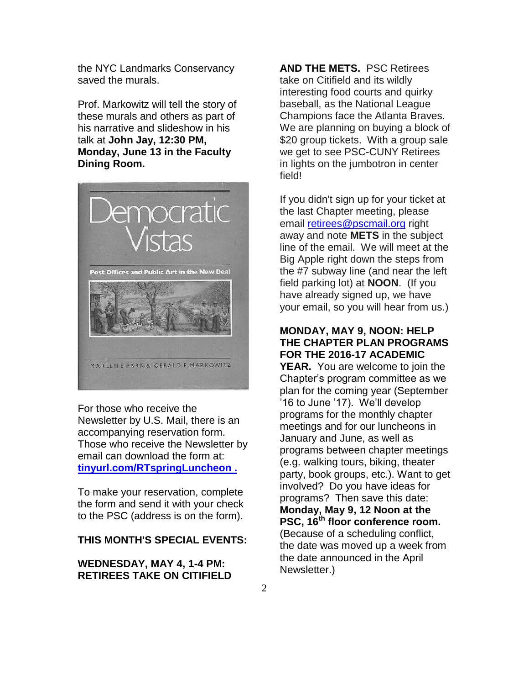the NYC Landmarks Conservancy saved the murals.

Prof. Markowitz will tell the story of these murals and others as part of his narrative and slideshow in his talk at **John Jay, 12:30 PM, Monday, June 13 in the Faculty Dining Room.**



For those who receive the Newsletter by U.S. Mail, there is an accompanying reservation form. Those who receive the Newsletter by email can download the form at: **[tinyurl.com/RTspringLuncheon](http://tinyurl.com/RTspringLuncheon) .**

To make your reservation, complete the form and send it with your check to the PSC (address is on the form).

## **THIS MONTH'S SPECIAL EVENTS:**

#### **WEDNESDAY, MAY 4, 1-4 PM: RETIREES TAKE ON CITIFIELD**

**AND THE METS.** PSC Retirees take on Citifield and its wildly interesting food courts and quirky baseball, as the National League Champions face the Atlanta Braves. We are planning on buying a block of \$20 group tickets. With a group sale we get to see PSC-CUNY Retirees in lights on the jumbotron in center field!

If you didn't sign up for your ticket at the last Chapter meeting, please email [retirees@pscmail.org](mailto:retirees@pscmail.org) right away and note **METS** in the subject line of the email. We will meet at the Big Apple right down the steps from the #7 subway line (and near the left field parking lot) at **NOON**. (If you have already signed up, we have your email, so you will hear from us.)

## **MONDAY, MAY 9, NOON: HELP THE CHAPTER PLAN PROGRAMS FOR THE 2016-17 ACADEMIC**

**YEAR.** You are welcome to join the Chapter's program committee as we plan for the coming year (September '16 to June '17). We'll develop programs for the monthly chapter meetings and for our luncheons in January and June, as well as programs between chapter meetings (e.g. walking tours, biking, theater party, book groups, etc.). Want to get involved? Do you have ideas for programs? Then save this date: **Monday, May 9, 12 Noon at the PSC, 16th floor conference room.**  (Because of a scheduling conflict, the date was moved up a week from the date announced in the April Newsletter.)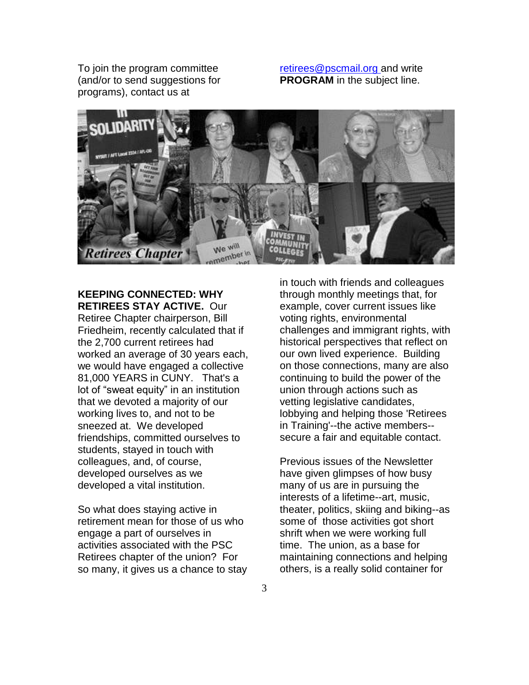To join the program committee (and/or to send suggestions for programs), contact us at

[retirees@pscmail.org](mailto:retirees@pscmail.org) and write **PROGRAM** in the subject line.



**KEEPING CONNECTED: WHY RETIREES STAY ACTIVE.** Our Retiree Chapter chairperson, Bill Friedheim, recently calculated that if the 2,700 current retirees had worked an average of 30 years each, we would have engaged a collective 81,000 YEARS in CUNY. That's a lot of "sweat equity" in an institution that we devoted a majority of our working lives to, and not to be sneezed at. We developed friendships, committed ourselves to students, stayed in touch with colleagues, and, of course, developed ourselves as we developed a vital institution.

So what does staying active in retirement mean for those of us who engage a part of ourselves in activities associated with the PSC Retirees chapter of the union? For so many, it gives us a chance to stay in touch with friends and colleagues through monthly meetings that, for example, cover current issues like voting rights, environmental challenges and immigrant rights, with historical perspectives that reflect on our own lived experience. Building on those connections, many are also continuing to build the power of the union through actions such as vetting legislative candidates, lobbying and helping those 'Retirees in Training'--the active members- secure a fair and equitable contact.

Previous issues of the Newsletter have given glimpses of how busy many of us are in pursuing the interests of a lifetime--art, music, theater, politics, skiing and biking--as some of those activities got short shrift when we were working full time. The union, as a base for maintaining connections and helping others, is a really solid container for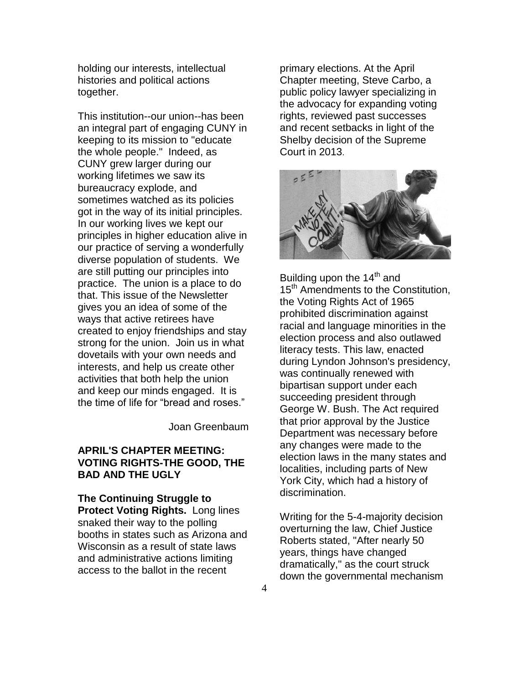holding our interests, intellectual histories and political actions together.

This institution--our union--has been an integral part of engaging CUNY in keeping to its mission to "educate the whole people." Indeed, as CUNY grew larger during our working lifetimes we saw its bureaucracy explode, and sometimes watched as its policies got in the way of its initial principles. In our working lives we kept our principles in higher education alive in our practice of serving a wonderfully diverse population of students. We are still putting our principles into practice. The union is a place to do that. This issue of the Newsletter gives you an idea of some of the ways that active retirees have created to enjoy friendships and stay strong for the union. Join us in what dovetails with your own needs and interests, and help us create other activities that both help the union and keep our minds engaged. It is the time of life for "bread and roses."

Joan Greenbaum

## **APRIL'S CHAPTER MEETING: VOTING RIGHTS-THE GOOD, THE BAD AND THE UGLY**

**The Continuing Struggle to Protect Voting Rights.** Long lines snaked their way to the polling booths in states such as Arizona and Wisconsin as a result of state laws and administrative actions limiting access to the ballot in the recent

primary elections. At the April Chapter meeting, Steve Carbo, a public policy lawyer specializing in the advocacy for expanding voting rights, reviewed past successes and recent setbacks in light of the Shelby decision of the Supreme Court in 2013.



Building upon the  $14<sup>th</sup>$  and 15<sup>th</sup> Amendments to the Constitution, the Voting Rights Act of 1965 prohibited discrimination against racial and language minorities in the election process and also outlawed literacy tests. This law, enacted during Lyndon Johnson's presidency, was continually renewed with bipartisan support under each succeeding president through George W. Bush. The Act required that prior approval by the Justice Department was necessary before any changes were made to the election laws in the many states and localities, including parts of New York City, which had a history of discrimination.

Writing for the 5-4-majority decision overturning the law, Chief Justice Roberts stated, "After nearly 50 years, things have changed dramatically," as the court struck down the governmental mechanism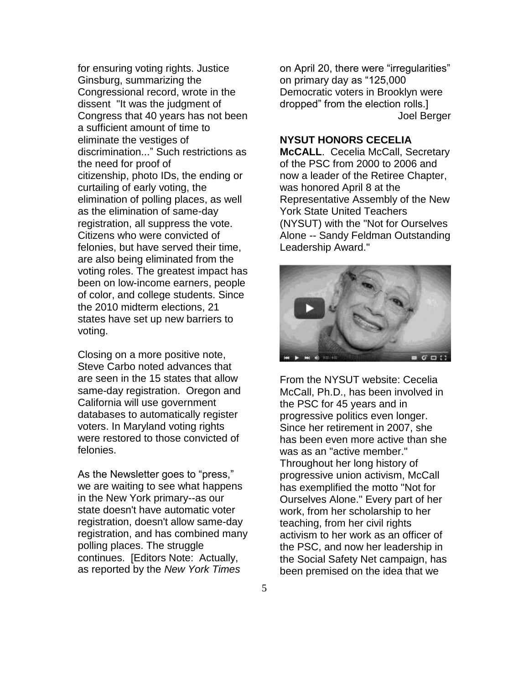for ensuring voting rights. Justice Ginsburg, summarizing the Congressional record, wrote in the dissent "It was the judgment of Congress that 40 years has not been a sufficient amount of time to eliminate the vestiges of discrimination..." Such restrictions as the need for proof of citizenship, photo IDs, the ending or curtailing of early voting, the elimination of polling places, as well as the elimination of same-day registration, all suppress the vote. Citizens who were convicted of felonies, but have served their time, are also being eliminated from the voting roles. The greatest impact has been on low-income earners, people of color, and college students. Since the 2010 midterm elections, 21 states have set up new barriers to voting.

Closing on a more positive note, Steve Carbo noted advances that are seen in the 15 states that allow same-day registration. Oregon and California will use government databases to automatically register voters. In Maryland voting rights were restored to those convicted of felonies.

As the Newsletter goes to "press," we are waiting to see what happens in the New York primary--as our state doesn't have automatic voter registration, doesn't allow same-day registration, and has combined many polling places. The struggle continues. [Editors Note: Actually, as reported by the *New York Times* 

on April 20, there were "irregularities" on primary day as "125,000 Democratic voters in Brooklyn were dropped" from the election rolls.] Joel Berger

#### **NYSUT HONORS CECELIA**

**McCALL.** Cecelia McCall, Secretary of the PSC from 2000 to 2006 and now a leader of the Retiree Chapter, was honored April 8 at the Representative Assembly of the New York State United Teachers (NYSUT) with the "Not for Ourselves Alone -- Sandy Feldman Outstanding Leadership Award."



From the NYSUT website: Cecelia McCall, Ph.D., has been involved in the PSC for 45 years and in progressive politics even longer. Since her retirement in 2007, she has been even more active than she was as an "active member." Throughout her long history of progressive union activism, McCall has exemplified the motto "Not for Ourselves Alone." Every part of her work, from her scholarship to her teaching, from her civil rights activism to her work as an officer of the PSC, and now her leadership in the Social Safety Net campaign, has been premised on the idea that we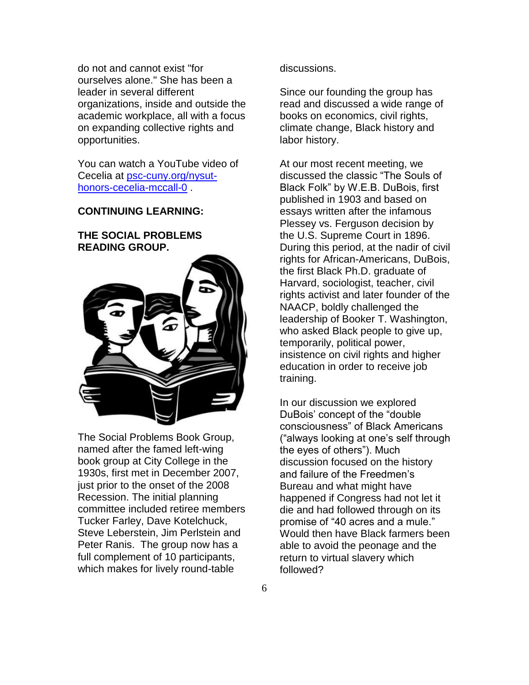do not and cannot exist "for ourselves alone." She has been a leader in several different organizations, inside and outside the academic workplace, all with a focus on expanding collective rights and opportunities.

You can watch a YouTube video of Cecelia at [psc-cuny.org/nysut](http://psc-cuny.org/nysut-honors-cecelia-mccall-0)[honors-cecelia-mccall-0](http://psc-cuny.org/nysut-honors-cecelia-mccall-0) .

#### **CONTINUING LEARNING:**

## **THE SOCIAL PROBLEMS READING GROUP.**



The Social Problems Book Group, named after the famed left-wing book group at City College in the 1930s, first met in December 2007, just prior to the onset of the 2008 Recession. The initial planning committee included retiree members Tucker Farley, Dave Kotelchuck, Steve Leberstein, Jim Perlstein and Peter Ranis. The group now has a full complement of 10 participants, which makes for lively round-table

discussions.

Since our founding the group has read and discussed a wide range of books on economics, civil rights, climate change, Black history and labor history.

At our most recent meeting, we discussed the classic "The Souls of Black Folk" by W.E.B. DuBois, first published in 1903 and based on essays written after the infamous Plessey vs. Ferguson decision by the U.S. Supreme Court in 1896. During this period, at the nadir of civil rights for African-Americans, DuBois, the first Black Ph.D. graduate of Harvard, sociologist, teacher, civil rights activist and later founder of the NAACP, boldly challenged the leadership of Booker T. Washington, who asked Black people to give up, temporarily, political power, insistence on civil rights and higher education in order to receive job training.

In our discussion we explored DuBois' concept of the "double consciousness" of Black Americans ("always looking at one's self through the eyes of others"). Much discussion focused on the history and failure of the Freedmen's Bureau and what might have happened if Congress had not let it die and had followed through on its promise of "40 acres and a mule." Would then have Black farmers been able to avoid the peonage and the return to virtual slavery which followed?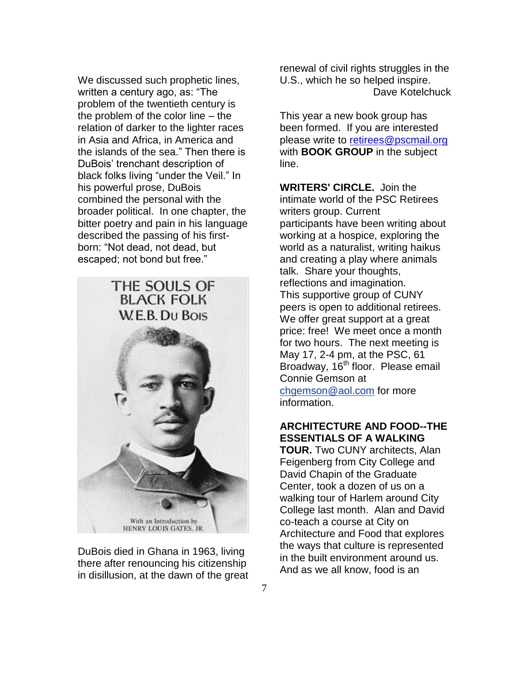We discussed such prophetic lines, written a century ago, as: "The problem of the twentieth century is the problem of the color line – the relation of darker to the lighter races in Asia and Africa, in America and the islands of the sea." Then there is DuBois' trenchant description of black folks living "under the Veil." In his powerful prose, DuBois combined the personal with the broader political. In one chapter, the bitter poetry and pain in his language described the passing of his firstborn: "Not dead, not dead, but escaped; not bond but free."



DuBois died in Ghana in 1963, living there after renouncing his citizenship in disillusion, at the dawn of the great renewal of civil rights struggles in the U.S., which he so helped inspire. Dave Kotelchuck

This year a new book group has been formed. If you are interested please write to [retirees@pscmail.org](mailto:retirees@pscmail.org) with **BOOK GROUP** in the subject line.

**WRITERS' CIRCLE.** Join the intimate world of the PSC Retirees writers group. Current participants have been writing about working at a hospice, exploring the world as a naturalist, writing haikus and creating a play where animals talk. Share your thoughts, reflections and imagination. This supportive group of CUNY peers is open to additional retirees. We offer great support at a great price: free! We meet once a month for two hours. The next meeting is May 17, 2-4 pm, at the PSC, 61 Broadway, 16<sup>th</sup> floor. Please email Connie Gemson at [chgemson@aol.com](mailto:chgemson@aol.com) for more

information.

## **ARCHITECTURE AND FOOD--THE ESSENTIALS OF A WALKING**

**TOUR.** Two CUNY architects, Alan Feigenberg from City College and David Chapin of the Graduate Center, took a dozen of us on a walking tour of Harlem around City College last month. Alan and David co-teach a course at City on Architecture and Food that explores the ways that culture is represented in the built environment around us. And as we all know, food is an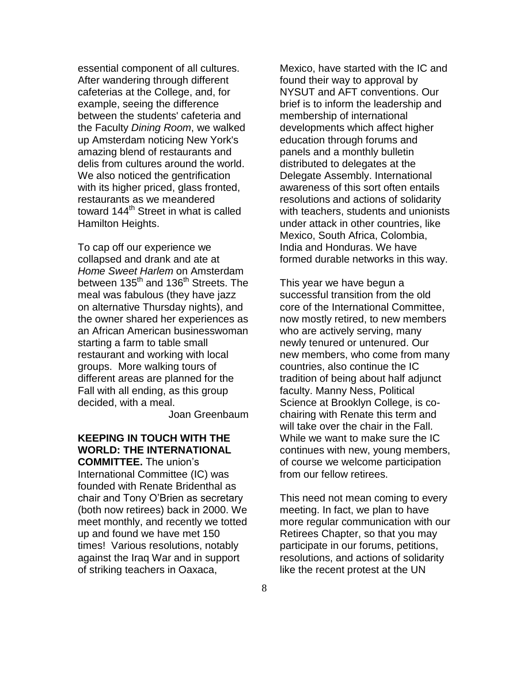essential component of all cultures. After wandering through different cafeterias at the College, and, for example, seeing the difference between the students' cafeteria and the Faculty *Dining Room*, we walked up Amsterdam noticing New York's amazing blend of restaurants and delis from cultures around the world. We also noticed the gentrification with its higher priced, glass fronted, restaurants as we meandered toward 144<sup>th</sup> Street in what is called Hamilton Heights.

To cap off our experience we collapsed and drank and ate at *Home Sweet Harlem* on Amsterdam between 135<sup>th</sup> and 136<sup>th</sup> Streets. The meal was fabulous (they have jazz on alternative Thursday nights), and the owner shared her experiences as an African American businesswoman starting a farm to table small restaurant and working with local groups. More walking tours of different areas are planned for the Fall with all ending, as this group decided, with a meal.

Joan Greenbaum

# **KEEPING IN TOUCH WITH THE WORLD: THE INTERNATIONAL**

**COMMITTEE.** The union's International Committee (IC) was founded with Renate Bridenthal as chair and Tony O'Brien as secretary (both now retirees) back in 2000. We meet monthly, and recently we totted up and found we have met 150 times! Various resolutions, notably against the Iraq War and in support of striking teachers in Oaxaca,

Mexico, have started with the IC and found their way to approval by NYSUT and AFT conventions. Our brief is to inform the leadership and membership of international developments which affect higher education through forums and panels and a monthly bulletin distributed to delegates at the Delegate Assembly. International awareness of this sort often entails resolutions and actions of solidarity with teachers, students and unionists under attack in other countries, like Mexico, South Africa, Colombia, India and Honduras. We have formed durable networks in this way.

This year we have begun a successful transition from the old core of the International Committee, now mostly retired, to new members who are actively serving, many newly tenured or untenured. Our new members, who come from many countries, also continue the IC tradition of being about half adjunct faculty. Manny Ness, Political Science at Brooklyn College, is cochairing with Renate this term and will take over the chair in the Fall. While we want to make sure the IC continues with new, young members, of course we welcome participation from our fellow retirees.

This need not mean coming to every meeting. In fact, we plan to have more regular communication with our Retirees Chapter, so that you may participate in our forums, petitions, resolutions, and actions of solidarity like the recent protest at the UN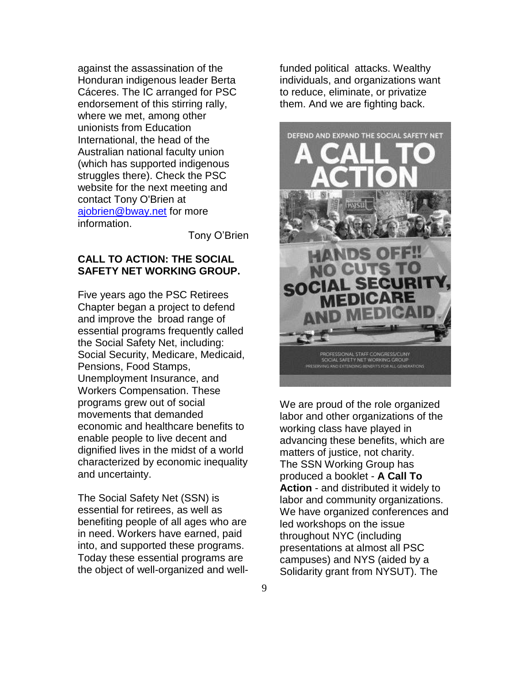against the assassination of the Honduran indigenous leader Berta Cáceres. The IC arranged for PSC endorsement of this stirring rally, where we met, among other unionists from Education International, the head of the Australian national faculty union (which has supported indigenous struggles there). Check the PSC website for the next meeting and contact Tony O'Brien at [ajobrien@bway.net](mailto:ajobrien@bway.net) for more information.

Tony O'Brien

## **CALL TO ACTION: THE SOCIAL SAFETY NET WORKING GROUP.**

Five years ago the PSC Retirees Chapter began a project to defend and improve the broad range of essential programs frequently called the Social Safety Net, including: Social Security, Medicare, Medicaid, Pensions, Food Stamps, Unemployment Insurance, and Workers Compensation. These programs grew out of social movements that demanded economic and healthcare benefits to enable people to live decent and dignified lives in the midst of a world characterized by economic inequality and uncertainty.

The Social Safety Net (SSN) is essential for retirees, as well as benefiting people of all ages who are in need. Workers have earned, paid into, and supported these programs. Today these essential programs are the object of well-organized and wellfunded political attacks. Wealthy individuals, and organizations want to reduce, eliminate, or privatize them. And we are fighting back.



We are proud of the role organized labor and other organizations of the working class have played in advancing these benefits, which are matters of justice, not charity. The SSN Working Group has produced a booklet - **A Call To Action** - and distributed it widely to labor and community organizations. We have organized conferences and led workshops on the issue throughout NYC (including presentations at almost all PSC campuses) and NYS (aided by a Solidarity grant from NYSUT). The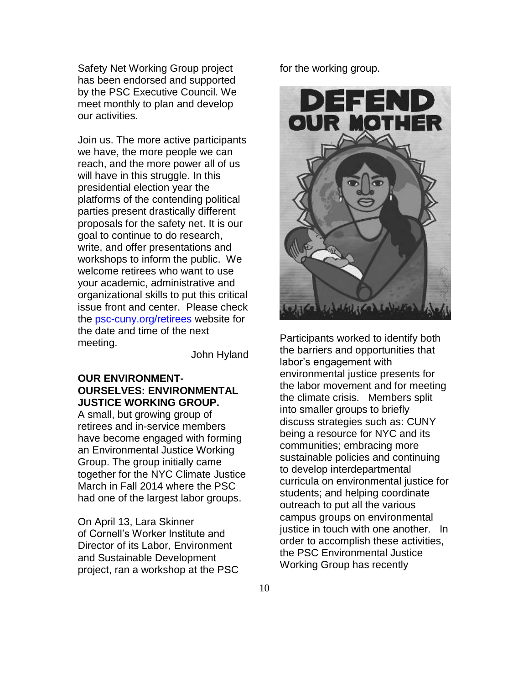Safety Net Working Group project has been endorsed and supported by the PSC Executive Council. We meet monthly to plan and develop our activities.

Join us. The more active participants we have, the more people we can reach, and the more power all of us will have in this struggle. In this presidential election year the platforms of the contending political parties present drastically different proposals for the safety net. It is our goal to continue to do research, write, and offer presentations and workshops to inform the public. We welcome retirees who want to use your academic, administrative and organizational skills to put this critical issue front and center. Please check the [psc-cuny.org/retirees](http://psc-cuny.org/retirees) website for the date and time of the next meeting.

John Hyland

## **OUR ENVIRONMENT-OURSELVES: ENVIRONMENTAL JUSTICE WORKING GROUP.**

A small, but growing group of retirees and in-service members have become engaged with forming an Environmental Justice Working Group. The group initially came together for the NYC Climate Justice March in Fall 2014 where the PSC had one of the largest labor groups.

On April 13, Lara Skinner of Cornell's Worker Institute and Director of its Labor, Environment and Sustainable Development project, ran a workshop at the PSC for the working group.



Participants worked to identify both the barriers and opportunities that labor's engagement with environmental justice presents for the labor movement and for meeting the climate crisis. Members split into smaller groups to briefly discuss strategies such as: CUNY being a resource for NYC and its communities; embracing more sustainable policies and continuing to develop interdepartmental curricula on environmental justice for students; and helping coordinate outreach to put all the various campus groups on environmental justice in touch with one another. In order to accomplish these activities, the PSC Environmental Justice Working Group has recently